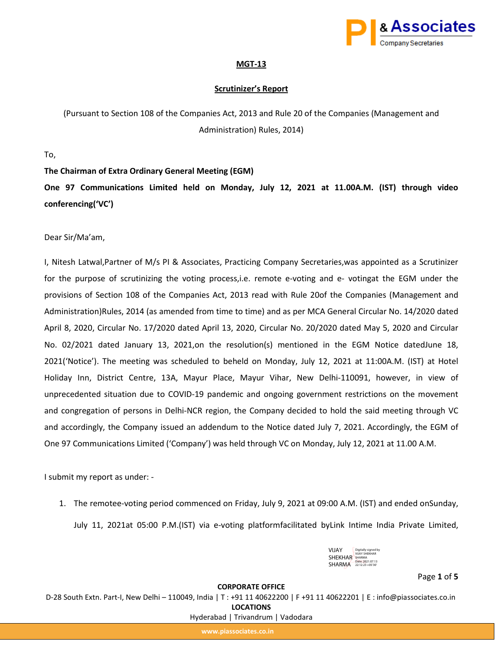

# **MGT-13**

# **Scrutinizer's Report**

(Pursuant to Section 108 of the Companies Act, 2013 and Rule 20 of the Companies (Management and Administration) Rules, 2014)

To,

**The Chairman of Extra Ordinary General Meeting (EGM)** 

**One 97 Communications Limited held on Monday, July 12, 2021 at 11.00A.M. (IST) through video conferencing('VC')**

Dear Sir/Ma'am,

I, Nitesh Latwal,Partner of M/s PI & Associates, Practicing Company Secretaries,was appointed as a Scrutinizer for the purpose of scrutinizing the voting process,i.e. remote e-voting and e- votingat the EGM under the provisions of Section 108 of the Companies Act, 2013 read with Rule 20of the Companies (Management and Administration)Rules, 2014 (as amended from time to time) and as per MCA General Circular No. 14/2020 dated April 8, 2020, Circular No. 17/2020 dated April 13, 2020, Circular No. 20/2020 dated May 5, 2020 and Circular No. 02/2021 dated January 13, 2021,on the resolution(s) mentioned in the EGM Notice datedJune 18, 2021('Notice'). The meeting was scheduled to beheld on Monday, July 12, 2021 at 11:00A.M. (IST) at Hotel Holiday Inn, District Centre, 13A, Mayur Place, Mayur Vihar, New Delhi-110091, however, in view of unprecedented situation due to COVID-19 pandemic and ongoing government restrictions on the movement and congregation of persons in Delhi-NCR region, the Company decided to hold the said meeting through VC and accordingly, the Company issued an addendum to the Notice dated July 7, 2021. Accordingly, the EGM of One 97 Communications Limited ('Company') was held through VC on Monday, July 12, 2021 at 11.00 A.M.

I submit my report as under: -

1. The remotee-voting period commenced on Friday, July 9, 2021 at 09:00 A.M. (IST) and ended onSunday,

July 11, 2021at 05:00 P.M.(IST) via e-voting platformfacilitated byLink Intime India Private Limited,

| VIJAY          | Digitally signed by<br><b>VIJAY SHEKHAR</b> |
|----------------|---------------------------------------------|
| <b>SHEKHAR</b> | <b>SHARMA</b>                               |
| <b>SHARMA</b>  | Date: 2021 07:13<br>22:12:23 +05'30'        |

Page **1** of **5**

#### **CORPORATE OFFICE**

D-28 South Extn. Part-I, New Delhi – 110049, India | T : +91 11 40622200 | F +91 11 40622201 | E : info@piassociates.co.in **LOCATIONS**

Hyderabad | Trivandrum | Vadodara

**www.piassociates.co.in**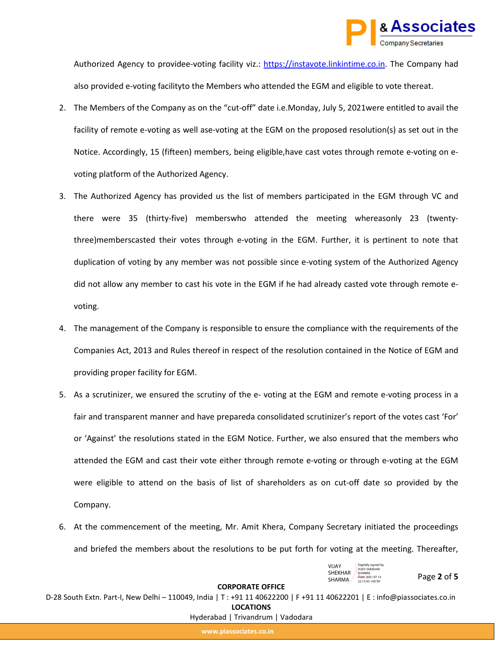

Authorized Agency to providee-voting facility viz.: [https://instavote.linkintime.co.in.](https://instavote.linkintime.co.in/) The Company had also provided e-voting facilityto the Members who attended the EGM and eligible to vote thereat.

- 2. The Members of the Company as on the "cut-off" date i.e.Monday, July 5, 2021were entitled to avail the facility of remote e-voting as well ase-voting at the EGM on the proposed resolution(s) as set out in the Notice. Accordingly, 15 (fifteen) members, being eligible,have cast votes through remote e-voting on evoting platform of the Authorized Agency.
- 3. The Authorized Agency has provided us the list of members participated in the EGM through VC and there were 35 (thirty-five) memberswho attended the meeting whereasonly 23 (twentythree)memberscasted their votes through e-voting in the EGM. Further, it is pertinent to note that duplication of voting by any member was not possible since e-voting system of the Authorized Agency did not allow any member to cast his vote in the EGM if he had already casted vote through remote evoting.
- 4. The management of the Company is responsible to ensure the compliance with the requirements of the Companies Act, 2013 and Rules thereof in respect of the resolution contained in the Notice of EGM and providing proper facility for EGM.
- 5. As a scrutinizer, we ensured the scrutiny of the e- voting at the EGM and remote e-voting process in a fair and transparent manner and have prepareda consolidated scrutinizer's report of the votes cast 'For' or 'Against' the resolutions stated in the EGM Notice. Further, we also ensured that the members who attended the EGM and cast their vote either through remote e-voting or through e-voting at the EGM were eligible to attend on the basis of list of shareholders as on cut-off date so provided by the Company.
- 6. At the commencement of the meeting, Mr. Amit Khera, Company Secretary initiated the proceedings and briefed the members about the resolutions to be put forth for voting at the meeting. Thereafter,

| VIJAY          | Digitally signed by                   |
|----------------|---------------------------------------|
| <b>SHEKHAR</b> | <b>VIJAY SHEKHAR</b><br><b>SHARMA</b> |
|                | Date: 2021.07.13                      |
| <b>SHARMA</b>  | $77:13:43 + 05'30'$                   |

Page **2** of **5**

#### **CORPORATE OFFICE**

D-28 South Extn. Part-I, New Delhi – 110049, India | T : +91 11 40622200 | F +91 11 40622201 | E : info@piassociates.co.in **LOCATIONS**

Hyderabad | Trivandrum | Vadodara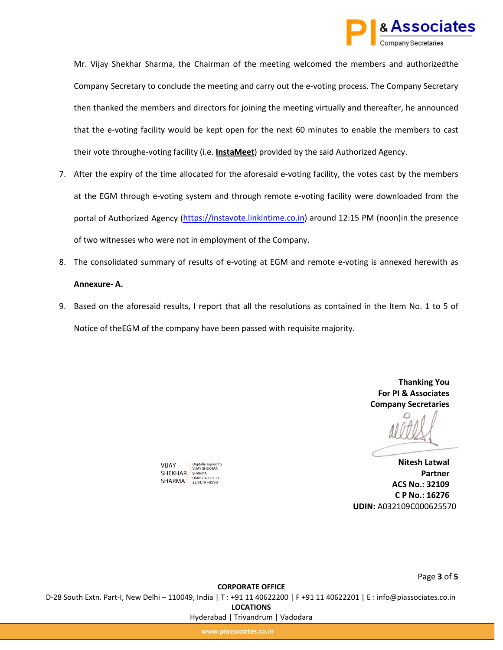

Mr. Vijay Shekhar Sharma, the Chairman of the meeting welcomed the members and authorizedthe Company Secretary to conclude the meeting and carry out the e-voting process. The Company Secretary then thanked the members and directors for joining the meeting virtually and thereafter, he announced that the e-voting facility would be kept open for the next 60 minutes to enable the members to cast their vote throughe-voting facility (i.e. **InstaMeet** ) provided by the said Authorized Agency.

- 7. After the expiry of the time allocated for the aforesaid e-voting facility, the votes cast by the members at the EGM through e-voting system and through remote e-voting facility were downloaded from the portal of Authorized Agency ([https://instavote.linkintime.co.in\)](https://instavote.linkintime.co.in/) around 12:15 PM (noon)in the presence of two witnesses who were not in employment of the Company.
- 8. The consolidated summary of results of e-voting at EGM and remote e-voting is annexed herewith as **Annexure- A.**
- 9. Based on the aforesaid results, I report that all the resolutions as contained in the Item No. 1 to 5 of Notice of theEGM of the company have been passed with requisite majority.

**Thanking You For PI & Associates Company Secretaries**

**Nitesh Latwal Partner ACS No.: 32109 C P No.: 16276 UDIN:** A032109C000625570

**CORPORATE OFFICE** D-28 South Extn. Part-I, New Delhi – 110049, India | T : +91 11 40622200 | F +91 11 40622201 | E : info@piassociates.co.in **LOCATIONS** Hyderabad | Trivandrum | Vadodara

**www.piassociates.co.in**

VIJAY

SHEKHAR SHARMA SHARMA 22:14:10 +05'30'

Digitally signed by VIJAY SHEKHAR

Page **3** of **5**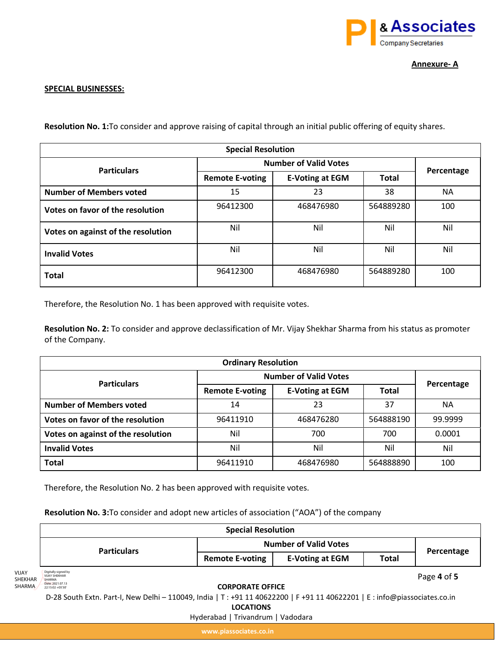

# **SPECIAL BUSINESSES:**

**Resolution No. 1:**To consider and approve raising of capital through an initial public offering of equity shares.

| <b>Special Resolution</b>          |                              |                        |              |            |
|------------------------------------|------------------------------|------------------------|--------------|------------|
| <b>Particulars</b>                 | <b>Number of Valid Votes</b> |                        |              |            |
|                                    | <b>Remote E-voting</b>       | <b>E-Voting at EGM</b> | <b>Total</b> | Percentage |
| <b>Number of Members voted</b>     | 15                           | 23                     | 38           | NA.        |
| Votes on favor of the resolution   | 96412300                     | 468476980              | 564889280    | 100        |
| Votes on against of the resolution | Nil                          | Nil                    | Nil          | Nil        |
| <b>Invalid Votes</b>               | Nil                          | Nil                    | Nil          | Nil        |
| <b>Total</b>                       | 96412300                     | 468476980              | 564889280    | 100        |

Therefore, the Resolution No. 1 has been approved with requisite votes.

**Resolution No. 2:** To consider and approve declassification of Mr. Vijay Shekhar Sharma from his status as promoter of the Company.

| <b>Ordinary Resolution</b>         |                              |                        |              |            |
|------------------------------------|------------------------------|------------------------|--------------|------------|
| <b>Particulars</b>                 | <b>Number of Valid Votes</b> |                        |              |            |
|                                    | <b>Remote E-voting</b>       | <b>E-Voting at EGM</b> | <b>Total</b> | Percentage |
| <b>Number of Members voted</b>     | 14                           | 23                     | 37           | NА         |
| Votes on favor of the resolution   | 96411910                     | 468476280              | 564888190    | 99.9999    |
| Votes on against of the resolution | Nil                          | 700                    | 700          | 0.0001     |
| <b>Invalid Votes</b>               | Nil                          | Nil                    | Nil          | Nil        |
| <b>Total</b>                       | 96411910                     | 468476980              | 564888890    | 100        |

Therefore, the Resolution No. 2 has been approved with requisite votes.

**Resolution No. 3:**To consider and adopt new articles of association ("AOA") of the company

|                                   |                                                                                                                          | <b>Special Resolution</b>         |                        |              |             |
|-----------------------------------|--------------------------------------------------------------------------------------------------------------------------|-----------------------------------|------------------------|--------------|-------------|
|                                   | <b>Particulars</b>                                                                                                       | <b>Number of Valid Votes</b>      |                        |              | Percentage  |
|                                   |                                                                                                                          | <b>Remote E-voting</b>            | <b>E-Voting at EGM</b> | <b>Total</b> |             |
| <b>VIJAY</b><br>SHEKHAR<br>SHARMA | Digitally signed by<br><b>VIJAY SHEKHAR</b><br><b>SHARMA</b><br>Date: 2021.07.13<br>22:15:02 +05'30"                     | <b>CORPORATE OFFICE</b>           |                        |              | Page 4 of 5 |
|                                   | D-28 South Extn. Part-I, New Delhi - 110049, India   T: +91 11 40622200   F +91 11 40622201   E: info@piassociates.co.in |                                   |                        |              |             |
|                                   |                                                                                                                          | <b>LOCATIONS</b>                  |                        |              |             |
|                                   |                                                                                                                          | Hyderabad   Trivandrum   Vadodara |                        |              |             |

**www.piassociates.co.in**